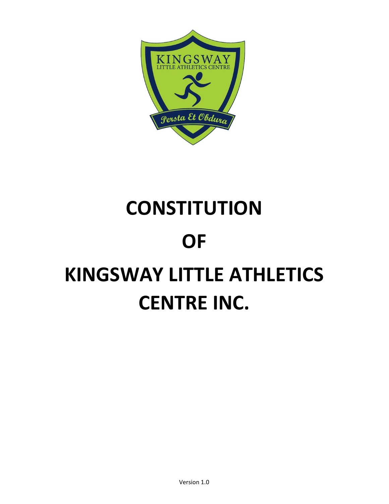

# **CONSTITUTION** OF KINGSWAY LITTLE ATHLETICS CENTRE INC.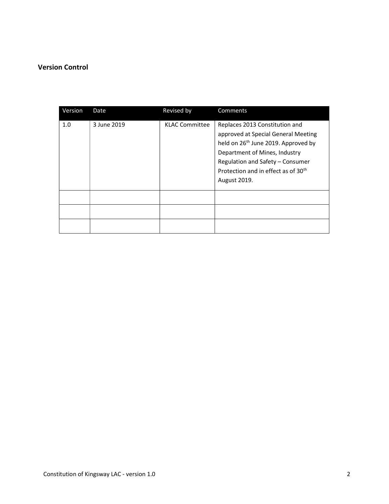## Version Control

| Version | Date        | Revised by            | Comments                                                                                                                                                                                                                                                         |
|---------|-------------|-----------------------|------------------------------------------------------------------------------------------------------------------------------------------------------------------------------------------------------------------------------------------------------------------|
| 1.0     | 3 June 2019 | <b>KLAC Committee</b> | Replaces 2013 Constitution and<br>approved at Special General Meeting<br>held on 26 <sup>th</sup> June 2019. Approved by<br>Department of Mines, Industry<br>Regulation and Safety - Consumer<br>Protection and in effect as of 30 <sup>th</sup><br>August 2019. |
|         |             |                       |                                                                                                                                                                                                                                                                  |
|         |             |                       |                                                                                                                                                                                                                                                                  |
|         |             |                       |                                                                                                                                                                                                                                                                  |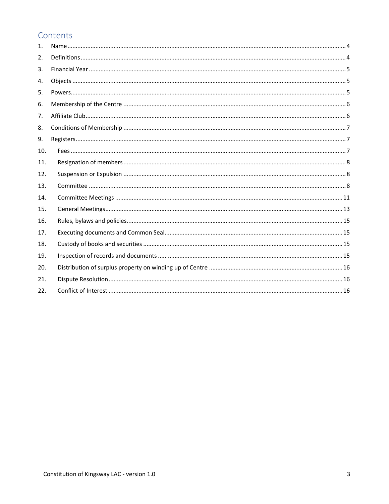# Contents

| 1.  |  |
|-----|--|
| 2.  |  |
| 3.  |  |
| 4.  |  |
| 5.  |  |
| 6.  |  |
| 7.  |  |
| 8.  |  |
| 9.  |  |
| 10. |  |
| 11. |  |
| 12. |  |
| 13. |  |
| 14. |  |
| 15. |  |
| 16. |  |
| 17. |  |
| 18. |  |
| 19. |  |
| 20. |  |
| 21. |  |
| 22. |  |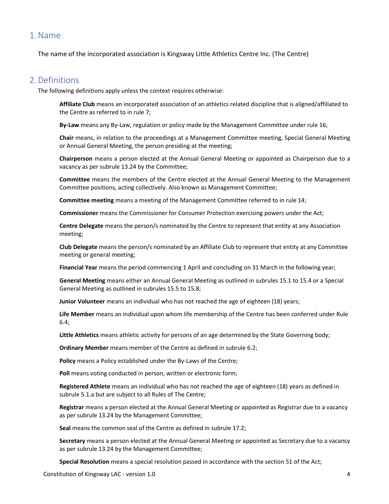## 1.Name

The name of the incorporated association is Kingsway Little Athletics Centre Inc. (The Centre)

## 2.Definitions

The following definitions apply unless the context requires otherwise:

Affiliate Club means an incorporated association of an athletics related discipline that is aligned/affiliated to the Centre as referred to in rule 7;

By-Law means any By-Law, regulation or policy made by the Management Committee under rule 16;

Chair means, in relation to the proceedings at a Management Committee meeting, Special General Meeting or Annual General Meeting, the person presiding at the meeting;

Chairperson means a person elected at the Annual General Meeting or appointed as Chairperson due to a vacancy as per subrule 13.24 by the Committee;

Committee means the members of the Centre elected at the Annual General Meeting to the Management Committee positions, acting collectively. Also known as Management Committee;

Committee meeting means a meeting of the Management Committee referred to in rule 14;

Commissioner means the Commissioner for Consumer Protection exercising powers under the Act;

Centre Delegate means the person/s nominated by the Centre to represent that entity at any Association meeting;

Club Delegate means the person/s nominated by an Affiliate Club to represent that entity at any Committee meeting or general meeting;

Financial Year means the period commencing 1 April and concluding on 31 March in the following year;

General Meeting means either an Annual General Meeting as outlined in subrules 15.1 to 15.4 or a Special General Meeting as outlined in subrules 15.5 to 15.8;

Junior Volunteer means an individual who has not reached the age of eighteen (18) years;

Life Member means an individual upon whom life membership of the Centre has been conferred under Rule 6.4;

Little Athletics means athletic activity for persons of an age determined by the State Governing body;

Ordinary Member means member of the Centre as defined in subrule 6.2;

Policy means a Policy established under the By-Laws of the Centre;

Poll means voting conducted in person, written or electronic form;

Registered Athlete means an individual who has not reached the age of eighteen (18) years as defined in subrule 5.1.a but are subject to all Rules of The Centre;

Registrar means a person elected at the Annual General Meeting or appointed as Registrar due to a vacancy as per subrule 13.24 by the Management Committee;

Seal means the common seal of the Centre as defined in subrule 17.2;

Secretary means a person elected at the Annual General Meeting or appointed as Secretary due to a vacancy as per subrule 13.24 by the Management Committee;

Special Resolution means a special resolution passed in accordance with the section 51 of the Act;

Constitution of Kingsway LAC - version 1.0 4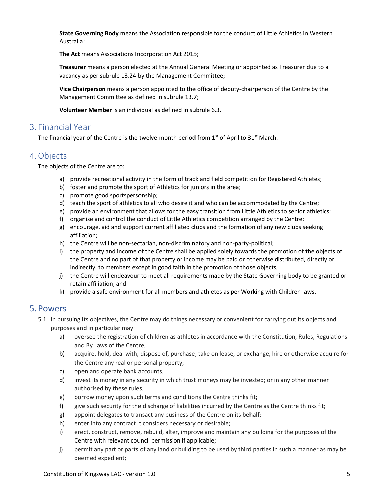State Governing Body means the Association responsible for the conduct of Little Athletics in Western Australia;

The Act means Associations Incorporation Act 2015;

Treasurer means a person elected at the Annual General Meeting or appointed as Treasurer due to a vacancy as per subrule 13.24 by the Management Committee;

Vice Chairperson means a person appointed to the office of deputy-chairperson of the Centre by the Management Committee as defined in subrule 13.7;

Volunteer Member is an individual as defined in subrule 6.3.

## 3. Financial Year

The financial year of the Centre is the twelve-month period from  $1<sup>st</sup>$  of April to 31<sup>st</sup> March.

## 4.Objects

The objects of the Centre are to:

- a) provide recreational activity in the form of track and field competition for Registered Athletes;
- b) foster and promote the sport of Athletics for juniors in the area;
- c) promote good sportspersonship;
- d) teach the sport of athletics to all who desire it and who can be accommodated by the Centre;
- e) provide an environment that allows for the easy transition from Little Athletics to senior athletics;
- f) organise and control the conduct of Little Athletics competition arranged by the Centre;
- g) encourage, aid and support current affiliated clubs and the formation of any new clubs seeking affiliation;
- h) the Centre will be non-sectarian, non-discriminatory and non-party-political;
- i) the property and income of the Centre shall be applied solely towards the promotion of the objects of the Centre and no part of that property or income may be paid or otherwise distributed, directly or indirectly, to members except in good faith in the promotion of those objects;
- j) the Centre will endeavour to meet all requirements made by the State Governing body to be granted or retain affiliation; and
- k) provide a safe environment for all members and athletes as per Working with Children laws.

## 5. Powers

- 5.1. In pursuing its objectives, the Centre may do things necessary or convenient for carrying out its objects and purposes and in particular may:
	- a) oversee the registration of children as athletes in accordance with the Constitution, Rules, Regulations and By Laws of the Centre;
	- b) acquire, hold, deal with, dispose of, purchase, take on lease, or exchange, hire or otherwise acquire for the Centre any real or personal property;
	- c) open and operate bank accounts;
	- d) invest its money in any security in which trust moneys may be invested; or in any other manner authorised by these rules;
	- e) borrow money upon such terms and conditions the Centre thinks fit;
	- f) give such security for the discharge of liabilities incurred by the Centre as the Centre thinks fit;
	- g) appoint delegates to transact any business of the Centre on its behalf;
	- h) enter into any contract it considers necessary or desirable;
	- i) erect, construct, remove, rebuild, alter, improve and maintain any building for the purposes of the Centre with relevant council permission if applicable;
	- j) permit any part or parts of any land or building to be used by third parties in such a manner as may be deemed expedient;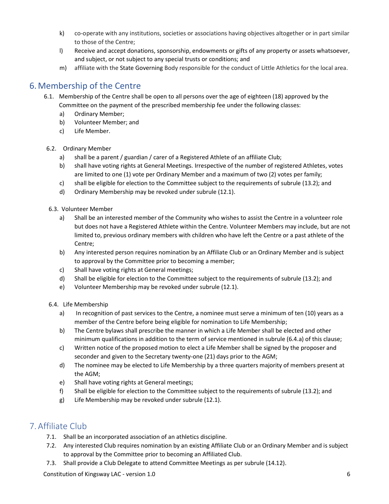- k) co-operate with any institutions, societies or associations having objectives altogether or in part similar to those of the Centre;
- l) Receive and accept donations, sponsorship, endowments or gifts of any property or assets whatsoever, and subject, or not subject to any special trusts or conditions; and
- m) affiliate with the State Governing Body responsible for the conduct of Little Athletics for the local area.

# 6.Membership of the Centre

- 6.1. Membership of the Centre shall be open to all persons over the age of eighteen (18) approved by the Committee on the payment of the prescribed membership fee under the following classes:
	- a) Ordinary Member;
	- b) Volunteer Member; and
	- c) Life Member.
- 6.2. Ordinary Member
	- a) shall be a parent / guardian / carer of a Registered Athlete of an affiliate Club;
	- b) shall have voting rights at General Meetings. Irrespective of the number of registered Athletes, votes are limited to one (1) vote per Ordinary Member and a maximum of two (2) votes per family;
	- c) shall be eligible for election to the Committee subject to the requirements of subrule (13.2); and
	- d) Ordinary Membership may be revoked under subrule (12.1).
- 6.3. Volunteer Member
	- a) Shall be an interested member of the Community who wishes to assist the Centre in a volunteer role but does not have a Registered Athlete within the Centre. Volunteer Members may include, but are not limited to, previous ordinary members with children who have left the Centre or a past athlete of the Centre;
	- b) Any interested person requires nomination by an Affiliate Club or an Ordinary Member and is subject to approval by the Committee prior to becoming a member;
	- c) Shall have voting rights at General meetings;
	- d) Shall be eligible for election to the Committee subject to the requirements of subrule (13.2); and
	- e) Volunteer Membership may be revoked under subrule (12.1).

## 6.4. Life Membership

- a) In recognition of past services to the Centre, a nominee must serve a minimum of ten (10) years as a member of the Centre before being eligible for nomination to Life Membership;
- b) The Centre bylaws shall prescribe the manner in which a Life Member shall be elected and other minimum qualifications in addition to the term of service mentioned in subrule (6.4.a) of this clause;
- c) Written notice of the proposed motion to elect a Life Member shall be signed by the proposer and seconder and given to the Secretary twenty-one (21) days prior to the AGM;
- d) The nominee may be elected to Life Membership by a three quarters majority of members present at the AGM;
- e) Shall have voting rights at General meetings;
- f) Shall be eligible for election to the Committee subject to the requirements of subrule (13.2); and
- g) Life Membership may be revoked under subrule (12.1).

# 7. Affiliate Club

- 7.1. Shall be an incorporated association of an athletics discipline.
- 7.2. Any interested Club requires nomination by an existing Affiliate Club or an Ordinary Member and is subject to approval by the Committee prior to becoming an Affiliated Club.
- 7.3. Shall provide a Club Delegate to attend Committee Meetings as per subrule (14.12).

Constitution of Kingsway LAC - version 1.0 6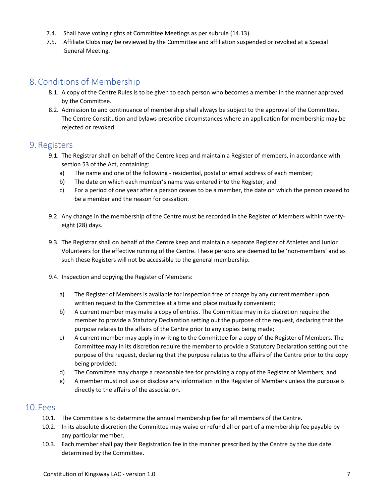- 7.4. Shall have voting rights at Committee Meetings as per subrule (14.13).
- 7.5. Affiliate Clubs may be reviewed by the Committee and affiliation suspended or revoked at a Special General Meeting.

# 8. Conditions of Membership

- 8.1. A copy of the Centre Rules is to be given to each person who becomes a member in the manner approved by the Committee.
- 8.2. Admission to and continuance of membership shall always be subject to the approval of the Committee. The Centre Constitution and bylaws prescribe circumstances where an application for membership may be rejected or revoked.

## 9. Registers

- 9.1. The Registrar shall on behalf of the Centre keep and maintain a Register of members, in accordance with section 53 of the Act, containing:
	- a) The name and one of the following residential, postal or email address of each member;
	- b) The date on which each member's name was entered into the Register; and
	- c) For a period of one year after a person ceases to be a member, the date on which the person ceased to be a member and the reason for cessation.
- 9.2. Any change in the membership of the Centre must be recorded in the Register of Members within twentyeight (28) days.
- 9.3. The Registrar shall on behalf of the Centre keep and maintain a separate Register of Athletes and Junior Volunteers for the effective running of the Centre. These persons are deemed to be 'non-members' and as such these Registers will not be accessible to the general membership.
- 9.4. Inspection and copying the Register of Members:
	- a) The Register of Members is available for inspection free of charge by any current member upon written request to the Committee at a time and place mutually convenient;
	- b) A current member may make a copy of entries. The Committee may in its discretion require the member to provide a Statutory Declaration setting out the purpose of the request, declaring that the purpose relates to the affairs of the Centre prior to any copies being made;
	- c) A current member may apply in writing to the Committee for a copy of the Register of Members. The Committee may in its discretion require the member to provide a Statutory Declaration setting out the purpose of the request, declaring that the purpose relates to the affairs of the Centre prior to the copy being provided;
	- d) The Committee may charge a reasonable fee for providing a copy of the Register of Members; and
	- e) A member must not use or disclose any information in the Register of Members unless the purpose is directly to the affairs of the association.

## 10.Fees

- 10.1. The Committee is to determine the annual membership fee for all members of the Centre.
- 10.2. In its absolute discretion the Committee may waive or refund all or part of a membership fee payable by any particular member.
- 10.3. Each member shall pay their Registration fee in the manner prescribed by the Centre by the due date determined by the Committee.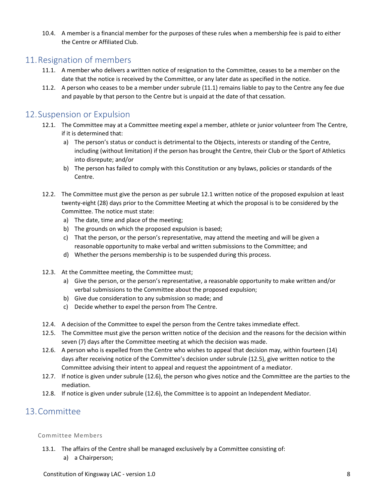10.4. A member is a financial member for the purposes of these rules when a membership fee is paid to either the Centre or Affiliated Club.

# 11.Resignation of members

- 11.1. A member who delivers a written notice of resignation to the Committee, ceases to be a member on the date that the notice is received by the Committee, or any later date as specified in the notice.
- 11.2. A person who ceases to be a member under subrule (11.1) remains liable to pay to the Centre any fee due and payable by that person to the Centre but is unpaid at the date of that cessation.

# 12.Suspension or Expulsion

- 12.1. The Committee may at a Committee meeting expel a member, athlete or junior volunteer from The Centre, if it is determined that:
	- a) The person's status or conduct is detrimental to the Objects, interests or standing of the Centre, including (without limitation) if the person has brought the Centre, their Club or the Sport of Athletics into disrepute; and/or
	- b) The person has failed to comply with this Constitution or any bylaws, policies or standards of the Centre.
- 12.2. The Committee must give the person as per subrule 12.1 written notice of the proposed expulsion at least twenty-eight (28) days prior to the Committee Meeting at which the proposal is to be considered by the Committee. The notice must state:
	- a) The date, time and place of the meeting;
	- b) The grounds on which the proposed expulsion is based;
	- c) That the person, or the person's representative, may attend the meeting and will be given a reasonable opportunity to make verbal and written submissions to the Committee; and
	- d) Whether the persons membership is to be suspended during this process.
- 12.3. At the Committee meeting, the Committee must;
	- a) Give the person, or the person's representative, a reasonable opportunity to make written and/or verbal submissions to the Committee about the proposed expulsion;
	- b) Give due consideration to any submission so made; and
	- c) Decide whether to expel the person from The Centre.
- 12.4. A decision of the Committee to expel the person from the Centre takes immediate effect.
- 12.5. The Committee must give the person written notice of the decision and the reasons for the decision within seven (7) days after the Committee meeting at which the decision was made.
- 12.6. A person who is expelled from the Centre who wishes to appeal that decision may, within fourteen (14) days after receiving notice of the Committee's decision under subrule (12.5), give written notice to the Committee advising their intent to appeal and request the appointment of a mediator.
- 12.7. If notice is given under subrule (12.6), the person who gives notice and the Committee are the parties to the mediation.
- 12.8. If notice is given under subrule (12.6), the Committee is to appoint an Independent Mediator.

# 13.Committee

## Committee Members

- 13.1. The affairs of the Centre shall be managed exclusively by a Committee consisting of:
	- a) a Chairperson;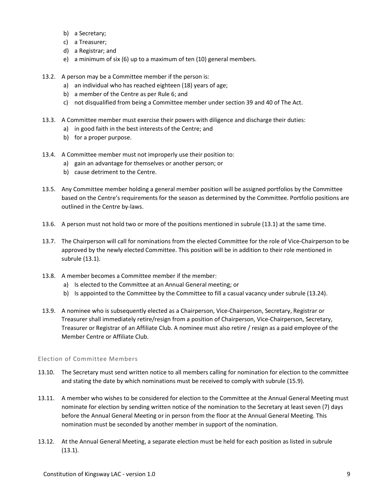- b) a Secretary;
- c) a Treasurer;
- d) a Registrar; and
- e) a minimum of six (6) up to a maximum of ten (10) general members.
- 13.2. A person may be a Committee member if the person is:
	- a) an individual who has reached eighteen (18) years of age;
	- b) a member of the Centre as per Rule 6; and
	- c) not disqualified from being a Committee member under section 39 and 40 of The Act.
- 13.3. A Committee member must exercise their powers with diligence and discharge their duties:
	- a) in good faith in the best interests of the Centre; and
	- b) for a proper purpose.
- 13.4. A Committee member must not improperly use their position to:
	- a) gain an advantage for themselves or another person; or
	- b) cause detriment to the Centre.
- 13.5. Any Committee member holding a general member position will be assigned portfolios by the Committee based on the Centre's requirements for the season as determined by the Committee. Portfolio positions are outlined in the Centre by-laws.
- 13.6. A person must not hold two or more of the positions mentioned in subrule (13.1) at the same time.
- 13.7. The Chairperson will call for nominations from the elected Committee for the role of Vice-Chairperson to be approved by the newly elected Committee. This position will be in addition to their role mentioned in subrule (13.1).
- 13.8. A member becomes a Committee member if the member:
	- a) Is elected to the Committee at an Annual General meeting; or
	- b) Is appointed to the Committee by the Committee to fill a casual vacancy under subrule (13.24).
- 13.9. A nominee who is subsequently elected as a Chairperson, Vice-Chairperson, Secretary, Registrar or Treasurer shall immediately retire/resign from a position of Chairperson, Vice-Chairperson, Secretary, Treasurer or Registrar of an Affiliate Club. A nominee must also retire / resign as a paid employee of the Member Centre or Affiliate Club.

## Election of Committee Members

- 13.10. The Secretary must send written notice to all members calling for nomination for election to the committee and stating the date by which nominations must be received to comply with subrule (15.9).
- 13.11. A member who wishes to be considered for election to the Committee at the Annual General Meeting must nominate for election by sending written notice of the nomination to the Secretary at least seven (7) days before the Annual General Meeting or in person from the floor at the Annual General Meeting. This nomination must be seconded by another member in support of the nomination.
- 13.12. At the Annual General Meeting, a separate election must be held for each position as listed in subrule (13.1).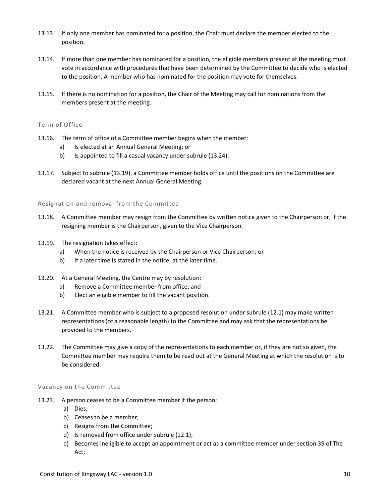- 13.13. If only one member has nominated for a position, the Chair must declare the member elected to the position.
- 13.14. If more than one member has nominated for a position, the eligible members present at the meeting must vote in accordance with procedures that have been determined by the Committee to decide who is elected to the position. A member who has nominated for the position may vote for themselves.
- 13.15. If there is no nomination for a position, the Chair of the Meeting may call for nominations from the members present at the meeting.

## Term of Office

- 13.16. The term of office of a Committee member begins when the member:
	- a) Is elected at an Annual General Meeting; or
	- b) Is appointed to fill a casual vacancy under subrule (13.24).
- 13.17. Subject to subrule (13.19), a Committee member holds office until the positions on the Committee are declared vacant at the next Annual General Meeting.

## Resignation and removal from the Committee

- 13.18. A Committee member may resign from the Committee by written notice given to the Chairperson or, if the resigning member is the Chairperson, given to the Vice Chairperson.
- 13.19. The resignation takes effect:
	- a) When the notice is received by the Chairperson or Vice Chairperson; or
	- b) If a later time is stated in the notice, at the later time.
- 13.20. At a General Meeting, the Centre may by resolution:
	- a) Remove a Committee member from office; and
	- b) Elect an eligible member to fill the vacant position.
- 13.21. A Committee member who is subject to a proposed resolution under subrule (12.1) may make written representations (of a reasonable length) to the Committee and may ask that the representations be provided to the members.
- 13.22. The Committee may give a copy of the representations to each member or, if they are not so given, the Committee member may require them to be read out at the General Meeting at which the resolution is to be considered.

## Vacancy on the Committee

- 13.23. A person ceases to be a Committee member if the person:
	- a) Dies;
	- b) Ceases to be a member;
	- c) Resigns from the Committee;
	- d) Is removed from office under subrule (12.1);
	- e) Becomes ineligible to accept an appointment or act as a committee member under section 39 of The Act;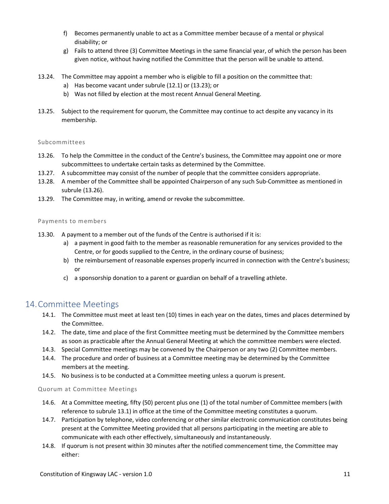- f) Becomes permanently unable to act as a Committee member because of a mental or physical disability; or
- g) Fails to attend three (3) Committee Meetings in the same financial year, of which the person has been given notice, without having notified the Committee that the person will be unable to attend.
- 13.24. The Committee may appoint a member who is eligible to fill a position on the committee that:
	- a) Has become vacant under subrule (12.1) or (13.23); or
	- b) Was not filled by election at the most recent Annual General Meeting.
- 13.25. Subject to the requirement for quorum, the Committee may continue to act despite any vacancy in its membership.

#### Subcommittees

- 13.26. To help the Committee in the conduct of the Centre's business, the Committee may appoint one or more subcommittees to undertake certain tasks as determined by the Committee.
- 13.27. A subcommittee may consist of the number of people that the committee considers appropriate.
- 13.28. A member of the Committee shall be appointed Chairperson of any such Sub-Committee as mentioned in subrule (13.26).
- 13.29. The Committee may, in writing, amend or revoke the subcommittee.

#### Payments to members

- 13.30. A payment to a member out of the funds of the Centre is authorised if it is:
	- a) a payment in good faith to the member as reasonable remuneration for any services provided to the Centre, or for goods supplied to the Centre, in the ordinary course of business;
	- b) the reimbursement of reasonable expenses properly incurred in connection with the Centre's business; or
	- c) a sponsorship donation to a parent or guardian on behalf of a travelling athlete.

## 14.Committee Meetings

- 14.1. The Committee must meet at least ten (10) times in each year on the dates, times and places determined by the Committee.
- 14.2. The date, time and place of the first Committee meeting must be determined by the Committee members as soon as practicable after the Annual General Meeting at which the committee members were elected.
- 14.3. Special Committee meetings may be convened by the Chairperson or any two (2) Committee members.
- 14.4. The procedure and order of business at a Committee meeting may be determined by the Committee members at the meeting.
- 14.5. No business is to be conducted at a Committee meeting unless a quorum is present.

#### Quorum at Committee Meetings

- 14.6. At a Committee meeting, fifty (50) percent plus one (1) of the total number of Committee members (with reference to subrule 13.1) in office at the time of the Committee meeting constitutes a quorum.
- 14.7. Participation by telephone, video conferencing or other similar electronic communication constitutes being present at the Committee Meeting provided that all persons participating in the meeting are able to communicate with each other effectively, simultaneously and instantaneously.
- 14.8. If quorum is not present within 30 minutes after the notified commencement time, the Committee may either: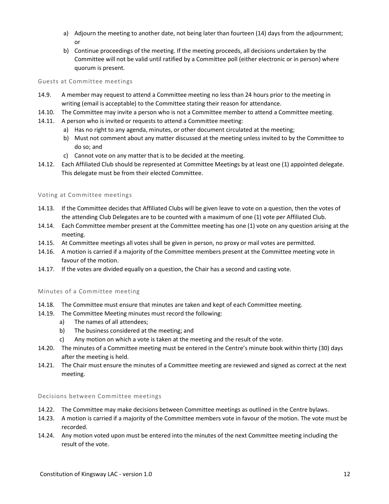- a) Adjourn the meeting to another date, not being later than fourteen (14) days from the adjournment; or
- b) Continue proceedings of the meeting. If the meeting proceeds, all decisions undertaken by the Committee will not be valid until ratified by a Committee poll (either electronic or in person) where quorum is present.

#### Guests at Committee meetings

- 14.9. A member may request to attend a Committee meeting no less than 24 hours prior to the meeting in writing (email is acceptable) to the Committee stating their reason for attendance.
- 14.10. The Committee may invite a person who is not a Committee member to attend a Committee meeting.
- 14.11. A person who is invited or requests to attend a Committee meeting:
	- a) Has no right to any agenda, minutes, or other document circulated at the meeting;
	- b) Must not comment about any matter discussed at the meeting unless invited to by the Committee to do so; and
	- c) Cannot vote on any matter that is to be decided at the meeting.
- 14.12. Each Affiliated Club should be represented at Committee Meetings by at least one (1) appointed delegate. This delegate must be from their elected Committee.

## Voting at Committee meetings

- 14.13. If the Committee decides that Affiliated Clubs will be given leave to vote on a question, then the votes of the attending Club Delegates are to be counted with a maximum of one (1) vote per Affiliated Club.
- 14.14. Each Committee member present at the Committee meeting has one (1) vote on any question arising at the meeting.
- 14.15. At Committee meetings all votes shall be given in person, no proxy or mail votes are permitted.
- 14.16. A motion is carried if a majority of the Committee members present at the Committee meeting vote in favour of the motion.
- 14.17. If the votes are divided equally on a question, the Chair has a second and casting vote.

## Minutes of a Committee meeting

- 14.18. The Committee must ensure that minutes are taken and kept of each Committee meeting.
- 14.19. The Committee Meeting minutes must record the following:
	- a) The names of all attendees;
	- b) The business considered at the meeting; and
	- c) Any motion on which a vote is taken at the meeting and the result of the vote.
- 14.20. The minutes of a Committee meeting must be entered in the Centre's minute book within thirty (30) days after the meeting is held.
- 14.21. The Chair must ensure the minutes of a Committee meeting are reviewed and signed as correct at the next meeting.

#### Decisions between Committee meetings

- 14.22. The Committee may make decisions between Committee meetings as outlined in the Centre bylaws.
- 14.23. A motion is carried if a majority of the Committee members vote in favour of the motion. The vote must be recorded.
- 14.24. Any motion voted upon must be entered into the minutes of the next Committee meeting including the result of the vote.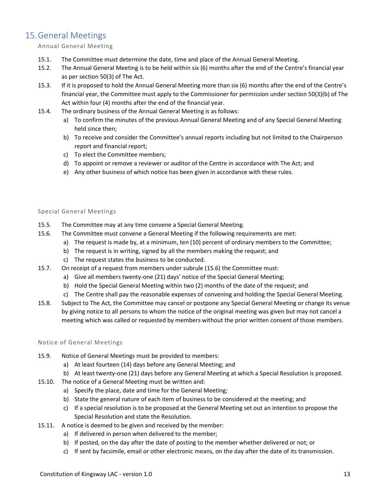# 15.General Meetings

## Annual General Meeting

- 15.1. The Committee must determine the date, time and place of the Annual General Meeting.
- 15.2. The Annual General Meeting is to be held within six (6) months after the end of the Centre's financial year as per section 50(3) of The Act.
- 15.3. If it is proposed to hold the Annual General Meeting more than six (6) months after the end of the Centre's financial year, the Committee must apply to the Commissioner for permission under section 50(3)(b) of The Act within four (4) months after the end of the financial year.
- 15.4. The ordinary business of the Annual General Meeting is as follows:
	- a) To confirm the minutes of the previous Annual General Meeting and of any Special General Meeting held since then;
	- b) To receive and consider the Committee's annual reports including but not limited to the Chairperson report and financial report;
	- c) To elect the Committee members;
	- d) To appoint or remove a reviewer or auditor of the Centre in accordance with The Act; and
	- e) Any other business of which notice has been given in accordance with these rules.

## Special General Meetings

- 15.5. The Committee may at any time convene a Special General Meeting.
- 15.6. The Committee must convene a General Meeting if the following requirements are met:
	- a) The request is made by, at a minimum, ten (10) percent of ordinary members to the Committee;
	- b) The request is in writing, signed by all the members making the request; and
	- c) The request states the business to be conducted.
- 15.7. On receipt of a request from members under subrule (15.6) the Committee must:
	- a) Give all members twenty-one (21) days' notice of the Special General Meeting;
	- b) Hold the Special General Meeting within two (2) months of the date of the request; and
	- c) The Centre shall pay the reasonable expenses of convening and holding the Special General Meeting.
- 15.8. Subject to The Act, the Committee may cancel or postpone any Special General Meeting or change its venue by giving notice to all persons to whom the notice of the original meeting was given but may not cancel a meeting which was called or requested by members without the prior written consent of those members.

## Notice of General Meetings

- 15.9. Notice of General Meetings must be provided to members:
	- a) At least fourteen (14) days before any General Meeting; and
	- b) At least twenty-one (21) days before any General Meeting at which a Special Resolution is proposed.
- 15.10. The notice of a General Meeting must be written and:
	- a) Specify the place, date and time for the General Meeting;
	- b) State the general nature of each item of business to be considered at the meeting; and
	- c) If a special resolution is to be proposed at the General Meeting set out an intention to propose the Special Resolution and state the Resolution.
- 15.11. A notice is deemed to be given and received by the member:
	- a) If delivered in person when delivered to the member;
	- b) If posted, on the day after the date of posting to the member whether delivered or not; or
	- c) If sent by facsimile, email or other electronic means, on the day after the date of its transmission.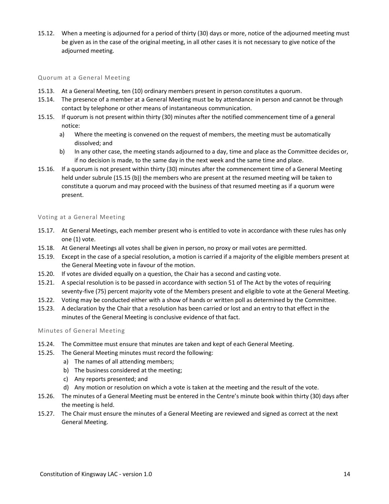15.12. When a meeting is adjourned for a period of thirty (30) days or more, notice of the adjourned meeting must be given as in the case of the original meeting, in all other cases it is not necessary to give notice of the adjourned meeting.

#### Quorum at a General Meeting

- 15.13. At a General Meeting, ten (10) ordinary members present in person constitutes a quorum.
- 15.14. The presence of a member at a General Meeting must be by attendance in person and cannot be through contact by telephone or other means of instantaneous communication.
- 15.15. If quorum is not present within thirty (30) minutes after the notified commencement time of a general notice:
	- a) Where the meeting is convened on the request of members, the meeting must be automatically dissolved; and
	- b) In any other case, the meeting stands adjourned to a day, time and place as the Committee decides or, if no decision is made, to the same day in the next week and the same time and place.
- 15.16. If a quorum is not present within thirty (30) minutes after the commencement time of a General Meeting held under subrule (15.15 (b)) the members who are present at the resumed meeting will be taken to constitute a quorum and may proceed with the business of that resumed meeting as if a quorum were present.

## Voting at a General Meeting

- 15.17. At General Meetings, each member present who is entitled to vote in accordance with these rules has only one (1) vote.
- 15.18. At General Meetings all votes shall be given in person, no proxy or mail votes are permitted.
- 15.19. Except in the case of a special resolution, a motion is carried if a majority of the eligible members present at the General Meeting vote in favour of the motion.
- 15.20. If votes are divided equally on a question, the Chair has a second and casting vote.
- 15.21. A special resolution is to be passed in accordance with section 51 of The Act by the votes of requiring seventy-five (75) percent majority vote of the Members present and eligible to vote at the General Meeting.
- 15.22. Voting may be conducted either with a show of hands or written poll as determined by the Committee.
- 15.23. A declaration by the Chair that a resolution has been carried or lost and an entry to that effect in the minutes of the General Meeting is conclusive evidence of that fact.

Minutes of General Meeting

- 15.24. The Committee must ensure that minutes are taken and kept of each General Meeting.
- 15.25. The General Meeting minutes must record the following:
	- a) The names of all attending members;
	- b) The business considered at the meeting;
	- c) Any reports presented; and
	- d) Any motion or resolution on which a vote is taken at the meeting and the result of the vote.
- 15.26. The minutes of a General Meeting must be entered in the Centre's minute book within thirty (30) days after the meeting is held.
- 15.27. The Chair must ensure the minutes of a General Meeting are reviewed and signed as correct at the next General Meeting.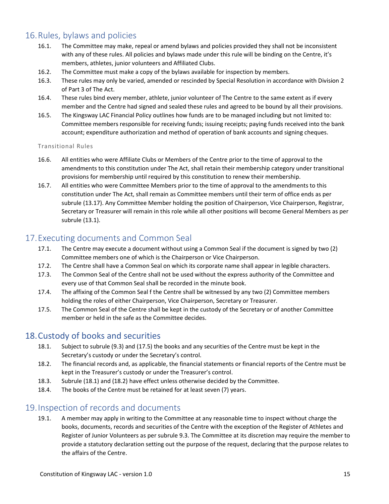# 16.Rules, bylaws and policies

- 16.1. The Committee may make, repeal or amend bylaws and policies provided they shall not be inconsistent with any of these rules. All policies and bylaws made under this rule will be binding on the Centre, it's members, athletes, junior volunteers and Affiliated Clubs.
- 16.2. The Committee must make a copy of the bylaws available for inspection by members.
- 16.3. These rules may only be varied, amended or rescinded by Special Resolution in accordance with Division 2 of Part 3 of The Act.
- 16.4. These rules bind every member, athlete, junior volunteer of The Centre to the same extent as if every member and the Centre had signed and sealed these rules and agreed to be bound by all their provisions.
- 16.5. The Kingsway LAC Financial Policy outlines how funds are to be managed including but not limited to: Committee members responsible for receiving funds; issuing receipts; paying funds received into the bank account; expenditure authorization and method of operation of bank accounts and signing cheques.

## Transitional Rules

- 16.6. All entities who were Affiliate Clubs or Members of the Centre prior to the time of approval to the amendments to this constitution under The Act, shall retain their membership category under transitional provisions for membership until required by this constitution to renew their membership.
- 16.7. All entities who were Committee Members prior to the time of approval to the amendments to this constitution under The Act, shall remain as Committee members until their term of office ends as per subrule (13.17). Any Committee Member holding the position of Chairperson, Vice Chairperson, Registrar, Secretary or Treasurer will remain in this role while all other positions will become General Members as per subrule (13.1).

## 17.Executing documents and Common Seal

- 17.1. The Centre may execute a document without using a Common Seal if the document is signed by two (2) Committee members one of which is the Chairperson or Vice Chairperson.
- 17.2. The Centre shall have a Common Seal on which its corporate name shall appear in legible characters.
- 17.3. The Common Seal of the Centre shall not be used without the express authority of the Committee and every use of that Common Seal shall be recorded in the minute book.
- 17.4. The affixing of the Common Seal f the Centre shall be witnessed by any two (2) Committee members holding the roles of either Chairperson, Vice Chairperson, Secretary or Treasurer.
- 17.5. The Common Seal of the Centre shall be kept in the custody of the Secretary or of another Committee member or held in the safe as the Committee decides.

## 18.Custody of books and securities

- 18.1. Subject to subrule (9.3) and (17.5) the books and any securities of the Centre must be kept in the Secretary's custody or under the Secretary's control.
- 18.2. The financial records and, as applicable, the financial statements or financial reports of the Centre must be kept in the Treasurer's custody or under the Treasurer's control.
- 18.3. Subrule (18.1) and (18.2) have effect unless otherwise decided by the Committee.
- 18.4. The books of the Centre must be retained for at least seven (7) years.

# 19.Inspection of records and documents

19.1. A member may apply in writing to the Committee at any reasonable time to inspect without charge the books, documents, records and securities of the Centre with the exception of the Register of Athletes and Register of Junior Volunteers as per subrule 9.3. The Committee at its discretion may require the member to provide a statutory declaration setting out the purpose of the request, declaring that the purpose relates to the affairs of the Centre.